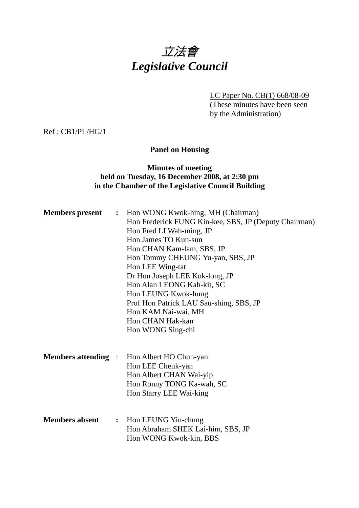# 立法會 *Legislative Council*

LC Paper No. CB(1) 668/08-09 (These minutes have been seen by the Administration)

Ref : CB1/PL/HG/1

# **Panel on Housing**

# **Minutes of meeting held on Tuesday, 16 December 2008, at 2:30 pm in the Chamber of the Legislative Council Building**

| <b>Members</b> present     | $\ddot{\cdot}$ | Hon WONG Kwok-hing, MH (Chairman)<br>Hon Frederick FUNG Kin-kee, SBS, JP (Deputy Chairman)<br>Hon Fred LI Wah-ming, JP<br>Hon James TO Kun-sun<br>Hon CHAN Kam-lam, SBS, JP<br>Hon Tommy CHEUNG Yu-yan, SBS, JP<br>Hon LEE Wing-tat<br>Dr Hon Joseph LEE Kok-long, JP<br>Hon Alan LEONG Kah-kit, SC<br>Hon LEUNG Kwok-hung<br>Prof Hon Patrick LAU Sau-shing, SBS, JP<br>Hon KAM Nai-wai, MH<br>Hon CHAN Hak-kan<br>Hon WONG Sing-chi |
|----------------------------|----------------|---------------------------------------------------------------------------------------------------------------------------------------------------------------------------------------------------------------------------------------------------------------------------------------------------------------------------------------------------------------------------------------------------------------------------------------|
| <b>Members attending :</b> |                | Hon Albert HO Chun-yan<br>Hon LEE Cheuk-yan<br>Hon Albert CHAN Wai-yip<br>Hon Ronny TONG Ka-wah, SC<br>Hon Starry LEE Wai-king                                                                                                                                                                                                                                                                                                        |
| <b>Members absent</b>      | $\ddot{\cdot}$ | Hon LEUNG Yiu-chung<br>Hon Abraham SHEK Lai-him, SBS, JP<br>Hon WONG Kwok-kin, BBS                                                                                                                                                                                                                                                                                                                                                    |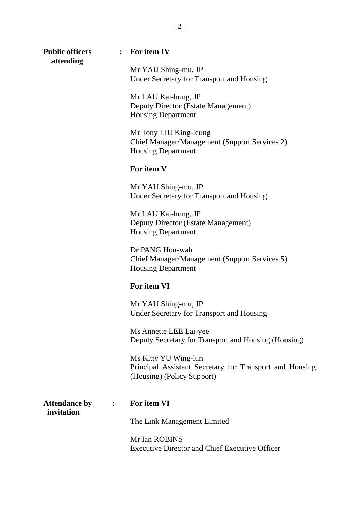**Public officers : For item IV attending** 

Mr YAU Shing-mu, JP Under Secretary for Transport and Housing

Mr LAU Kai-hung, JP Deputy Director (Estate Management) Housing Department

Mr Tony LIU King-leung Chief Manager/Management (Support Services 2) Housing Department

#### **For item V**

Mr YAU Shing-mu, JP Under Secretary for Transport and Housing

Mr LAU Kai-hung, JP Deputy Director (Estate Management) Housing Department

Dr PANG Hon-wah Chief Manager/Management (Support Services 5) Housing Department

#### **For item VI**

Mr YAU Shing-mu, JP Under Secretary for Transport and Housing

Ms Annette LEE Lai-yee Deputy Secretary for Transport and Housing (Housing)

Ms Kitty YU Wing-lun Principal Assistant Secretary for Transport and Housing (Housing) (Policy Support)

| <b>Attendance by</b> |  |
|----------------------|--|
| invitation           |  |

### **Aug 1. For item VI**

The Link Management Limited

Mr Ian ROBINS Executive Director and Chief Executive Officer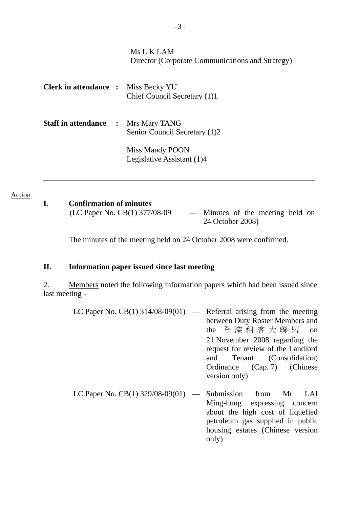|                              |                | Ms L K LAM<br>Director (Corporate Communications and Strategy) |
|------------------------------|----------------|----------------------------------------------------------------|
| <b>Clerk in attendance :</b> |                | Miss Becky YU<br>Chief Council Secretary (1)1                  |
| <b>Staff in attendance</b>   | $\ddot{\cdot}$ | Mrs Mary TANG<br>Senior Council Secretary (1)2                 |
|                              |                | Miss Mandy POON<br>Legislative Assistant (1)4                  |

#### Action

| I. | <b>Confirmation of minutes</b>  |
|----|---------------------------------|
|    | $(1 \cap$ Paper No $CR(1)$ 377/ |

(LC Paper No. CB(1) 377/08-09 — Minutes of the meeting held on 24 October 2008)

The minutes of the meeting held on 24 October 2008 were confirmed.

### **II. Information paper issued since last meeting**

2. Members noted the following information papers which had been issued since last meeting -

- LC Paper No. CB(1)  $314/08-09(01)$  Referral arising from the meeting between Duty Roster Members and the 全港租客大 聯 盟 on 21 November 2008 regarding the request for review of the Landlord and Tenant (Consolidation) Ordinance (Cap. 7) (Chinese version only)
- LC Paper No.  $CB(1)$  329/08-09(01) Submission from Mr LAI Ming-hung expressing concern about the high cost of liquefied petroleum gas supplied in public housing estates (Chinese version only)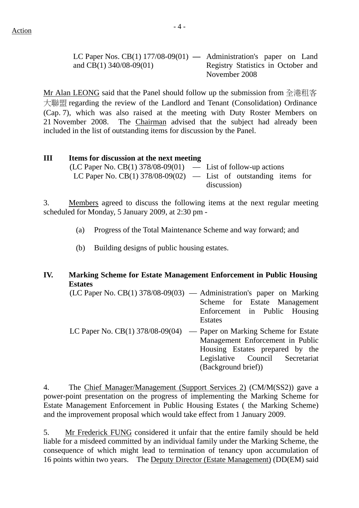LC Paper Nos. CB(1) 177/08-09(01) **—** Administration's paper on Land and CB(1) 340/08-09(01) Registry Statistics in October and November 2008

Mr Alan LEONG said that the Panel should follow up the submission from 全港租客 大聯盟 regarding the review of the Landlord and Tenant (Consolidation) Ordinance (Cap. 7), which was also raised at the meeting with Duty Roster Members on 21 November 2008. The Chairman advised that the subject had already been included in the list of outstanding items for discussion by the Panel.

# **III Items for discussion at the next meeting**   $(LC$  Paper No.  $CB(1)$  378/08-09 $(01)$  — List of follow-up actions LC Paper No. CB(1)  $378/08-09(02)$  — List of outstanding items for discussion)

3. Members agreed to discuss the following items at the next regular meeting scheduled for Monday, 5 January 2009, at 2:30 pm -

- (a) Progress of the Total Maintenance Scheme and way forward; and
- (b) Building designs of public housing estates.

# **IV. Marking Scheme for Estate Management Enforcement in Public Housing Estates**

(LC Paper No. CB(1) 378/08-09(03) — Administration's paper on Marking Scheme for Estate Management Enforcement in Public Housing Estates

LC Paper No.  $CB(1)$  378/08-09(04) — Paper on Marking Scheme for Estate Management Enforcement in Public Housing Estates prepared by the Legislative Council Secretariat (Background brief))

4. The Chief Manager/Management (Support Services 2) (CM/M(SS2)) gave a power-point presentation on the progress of implementing the Marking Scheme for Estate Management Enforcement in Public Housing Estates ( the Marking Scheme) and the improvement proposal which would take effect from 1 January 2009.

5. Mr Frederick FUNG considered it unfair that the entire family should be held liable for a misdeed committed by an individual family under the Marking Scheme, the consequence of which might lead to termination of tenancy upon accumulation of 16 points within two years. The Deputy Director (Estate Management) (DD(EM) said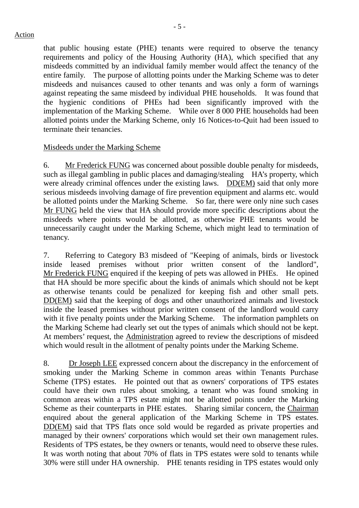that public housing estate (PHE) tenants were required to observe the tenancy requirements and policy of the Housing Authority (HA), which specified that any misdeeds committed by an individual family member would affect the tenancy of the entire family. The purpose of allotting points under the Marking Scheme was to deter misdeeds and nuisances caused to other tenants and was only a form of warnings against repeating the same misdeed by individual PHE households. It was found that the hygienic conditions of PHEs had been significantly improved with the implementation of the Marking Scheme. While over 8 000 PHE households had been allotted points under the Marking Scheme, only 16 Notices-to-Quit had been issued to

## Misdeeds under the Marking Scheme

terminate their tenancies.

6. Mr Frederick FUNG was concerned about possible double penalty for misdeeds, such as illegal gambling in public places and damaging/stealing HA's property, which were already criminal offences under the existing laws. DD(EM) said that only more serious misdeeds involving damage of fire prevention equipment and alarms etc. would be allotted points under the Marking Scheme. So far, there were only nine such cases Mr FUNG held the view that HA should provide more specific descriptions about the misdeeds where points would be allotted, as otherwise PHE tenants would be unnecessarily caught under the Marking Scheme, which might lead to termination of tenancy.

7. Referring to Category B3 misdeed of "Keeping of animals, birds or livestock inside leased premises without prior written consent of the landlord", Mr Frederick FUNG enquired if the keeping of pets was allowed in PHEs. He opined that HA should be more specific about the kinds of animals which should not be kept as otherwise tenants could be penalized for keeping fish and other small pets. DD(EM) said that the keeping of dogs and other unauthorized animals and livestock inside the leased premises without prior written consent of the landlord would carry with it five penalty points under the Marking Scheme. The information pamphlets on the Marking Scheme had clearly set out the types of animals which should not be kept. At members' request, the Administration agreed to review the descriptions of misdeed which would result in the allotment of penalty points under the Marking Scheme.

8. Dr Joseph LEE expressed concern about the discrepancy in the enforcement of smoking under the Marking Scheme in common areas within Tenants Purchase Scheme (TPS) estates. He pointed out that as owners' corporations of TPS estates could have their own rules about smoking, a tenant who was found smoking in common areas within a TPS estate might not be allotted points under the Marking Scheme as their counterparts in PHE estates. Sharing similar concern, the Chairman enquired about the general application of the Marking Scheme in TPS estates. DD(EM) said that TPS flats once sold would be regarded as private properties and managed by their owners' corporations which would set their own management rules. Residents of TPS estates, be they owners or tenants, would need to observe these rules. It was worth noting that about 70% of flats in TPS estates were sold to tenants while 30% were still under HA ownership. PHE tenants residing in TPS estates would only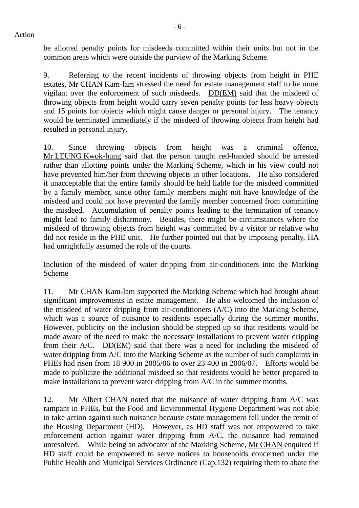Action

be allotted penalty points for misdeeds committed within their units but not in the common areas which were outside the purview of the Marking Scheme.

9. Referring to the recent incidents of throwing objects from height in PHE estates, Mr CHAN Kam-lam stressed the need for estate management staff to be more vigilant over the enforcement of such misdeeds. DD(EM) said that the misdeed of throwing objects from height would carry seven penalty points for less heavy objects and 15 points for objects which might cause danger or personal injury. The tenancy would be terminated immediately if the misdeed of throwing objects from height had resulted in personal injury.

10. Since throwing objects from height was a criminal offence, Mr LEUNG Kwok-hung said that the person caught red-handed should be arrested rather than allotting points under the Marking Scheme, which in his view could not have prevented him/her from throwing objects in other locations. He also considered it unacceptable that the entire family should be held liable for the misdeed committed by a family member, since other family members might not have knowledge of the misdeed and could not have prevented the family member concerned from committing the misdeed. Accumulation of penalty points leading to the termination of tenancy might lead to family disharmony. Besides, there might be circumstances where the misdeed of throwing objects from height was committed by a visitor or relative who did not reside in the PHE unit. He further pointed out that by imposing penalty, HA had unrightfully assumed the role of the courts.

Inclusion of the misdeed of water dripping from air-conditioners into the Marking Scheme

11. Mr CHAN Kam-lam supported the Marking Scheme which had brought about significant improvements in estate management. He also welcomed the inclusion of the misdeed of water dripping from air-conditioners (A/C) into the Marking Scheme, which was a source of nuisance to residents especially during the summer months. However, publicity on the inclusion should be stepped up so that residents would be made aware of the need to make the necessary installations to prevent water dripping from their A/C. DD(EM) said that there was a need for including the misdeed of water dripping from A/C into the Marking Scheme as the number of such complaints in PHEs had risen from 18 900 in 2005/06 to over 23 400 in 2006/07. Efforts would be made to publicize the additional misdeed so that residents would be better prepared to make installations to prevent water dripping from A/C in the summer months.

12. Mr Albert CHAN noted that the nuisance of water dripping from A/C was rampant in PHEs, but the Food and Environmental Hygiene Department was not able to take action against such nuisance because estate management fell under the remit of the Housing Department (HD). However, as HD staff was not empowered to take enforcement action against water dripping from A/C, the nuisance had remained unresolved. While being an advocator of the Marking Scheme, Mr CHAN enquired if HD staff could be empowered to serve notices to households concerned under the Public Health and Municipal Services Ordinance (Cap.132) requiring them to abate the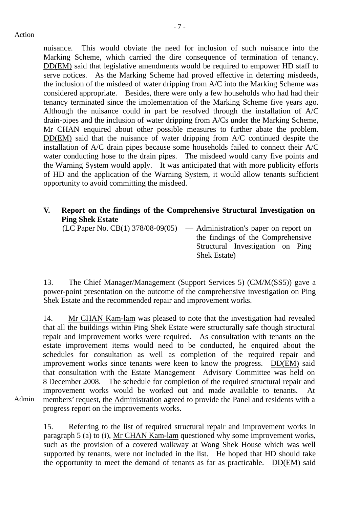nuisance. This would obviate the need for inclusion of such nuisance into the Marking Scheme, which carried the dire consequence of termination of tenancy. DD(EM) said that legislative amendments would be required to empower HD staff to serve notices. As the Marking Scheme had proved effective in deterring misdeeds, the inclusion of the misdeed of water dripping from A/C into the Marking Scheme was considered appropriate. Besides, there were only a few households who had had their tenancy terminated since the implementation of the Marking Scheme five years ago. Although the nuisance could in part be resolved through the installation of A/C drain-pipes and the inclusion of water dripping from A/Cs under the Marking Scheme, Mr CHAN enquired about other possible measures to further abate the problem. DD(EM) said that the nuisance of water dripping from A/C continued despite the installation of A/C drain pipes because some households failed to connect their A/C water conducting hose to the drain pipes. The misdeed would carry five points and the Warning System would apply. It was anticipated that with more publicity efforts of HD and the application of the Warning System, it would allow tenants sufficient opportunity to avoid committing the misdeed.

# **V. Report on the findings of the Comprehensive Structural Investigation on Ping Shek Estate**

 $(LC$  Paper No.  $CB(1)$  378/08-09(05) — Administration's paper on report on

the findings of the Comprehensive Structural Investigation on Ping Shek Estate)

13. The Chief Manager/Management (Support Services 5) (CM/M(SS5)) gave a power-point presentation on the outcome of the comprehensive investigation on Ping Shek Estate and the recommended repair and improvement works.

14. Mr CHAN Kam-lam was pleased to note that the investigation had revealed that all the buildings within Ping Shek Estate were structurally safe though structural repair and improvement works were required. As consultation with tenants on the estate improvement items would need to be conducted, he enquired about the schedules for consultation as well as completion of the required repair and improvement works since tenants were keen to know the progress. DD(EM) said that consultation with the Estate Management Advisory Committee was held on 8 December 2008. The schedule for completion of the required structural repair and improvement works would be worked out and made available to tenants. At members' request, the Administration agreed to provide the Panel and residents with a progress report on the improvements works.

Admin

15. Referring to the list of required structural repair and improvement works in paragraph 5 (a) to (i), Mr CHAN Kam-lam questioned why some improvement works, such as the provision of a covered walkway at Wong Shek House which was well supported by tenants, were not included in the list. He hoped that HD should take the opportunity to meet the demand of tenants as far as practicable. DD(EM) said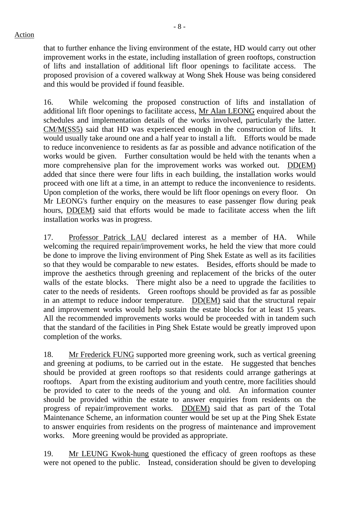that to further enhance the living environment of the estate, HD would carry out other improvement works in the estate, including installation of green rooftops, construction of lifts and installation of additional lift floor openings to facilitate access. The proposed provision of a covered walkway at Wong Shek House was being considered and this would be provided if found feasible.

16. While welcoming the proposed construction of lifts and installation of additional lift floor openings to facilitate access, Mr Alan LEONG enquired about the schedules and implementation details of the works involved, particularly the latter. CM/M(SS5) said that HD was experienced enough in the construction of lifts. It would usually take around one and a half year to install a lift. Efforts would be made to reduce inconvenience to residents as far as possible and advance notification of the works would be given. Further consultation would be held with the tenants when a more comprehensive plan for the improvement works was worked out. DD(EM) added that since there were four lifts in each building, the installation works would proceed with one lift at a time, in an attempt to reduce the inconvenience to residents. Upon completion of the works, there would be lift floor openings on every floor. On Mr LEONG's further enquiry on the measures to ease passenger flow during peak hours, DD(EM) said that efforts would be made to facilitate access when the lift installation works was in progress.

17. Professor Patrick LAU declared interest as a member of HA. While welcoming the required repair/improvement works, he held the view that more could be done to improve the living environment of Ping Shek Estate as well as its facilities so that they would be comparable to new estates. Besides, efforts should be made to improve the aesthetics through greening and replacement of the bricks of the outer walls of the estate blocks. There might also be a need to upgrade the facilities to cater to the needs of residents. Green rooftops should be provided as far as possible in an attempt to reduce indoor temperature. DD(EM) said that the structural repair and improvement works would help sustain the estate blocks for at least 15 years. All the recommended improvements works would be proceeded with in tandem such that the standard of the facilities in Ping Shek Estate would be greatly improved upon completion of the works.

18. Mr Frederick FUNG supported more greening work, such as vertical greening and greening at podiums, to be carried out in the estate. He suggested that benches should be provided at green rooftops so that residents could arrange gatherings at rooftops. Apart from the existing auditorium and youth centre, more facilities should be provided to cater to the needs of the young and old. An information counter should be provided within the estate to answer enquiries from residents on the progress of repair/improvement works. DD(EM) said that as part of the Total Maintenance Scheme, an information counter would be set up at the Ping Shek Estate to answer enquiries from residents on the progress of maintenance and improvement works. More greening would be provided as appropriate.

19. Mr LEUNG Kwok-hung questioned the efficacy of green rooftops as these were not opened to the public. Instead, consideration should be given to developing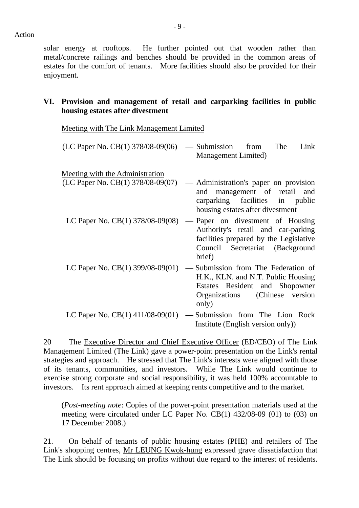solar energy at rooftops. He further pointed out that wooden rather than metal/concrete railings and benches should be provided in the common areas of estates for the comfort of tenants. More facilities should also be provided for their enjoyment.

# **VI. Provision and management of retail and carparking facilities in public housing estates after divestment**

Meeting with The Link Management Limited

| $(LC$ Paper No. $CB(1)$ 378/08-09(06) — Submission from The Link |                     |  |  |
|------------------------------------------------------------------|---------------------|--|--|
|                                                                  | Management Limited) |  |  |

Meeting with the Administration

- (LC Paper No. CB(1) 378/08-09(07) Administration's paper on provision and management of retail and carparking facilities in public housing estates after divestment
- LC Paper No.  $CB(1)$  378/08-09(08) Paper on divestment of Housing Authority's retail and car-parking facilities prepared by the Legislative Council Secretariat (Background brief)
- LC Paper No.  $CB(1)$  399/08-09(01) Submission from The Federation of H.K., KLN. and N.T. Public Housing Estates Resident and Shopowner Organizations (Chinese version only)
- LC Paper No. CB(1) 411/08-09(01) **—** Submission from The Lion Rock Institute (English version only))

20 The Executive Director and Chief Executive Officer (ED/CEO) of The Link Management Limited (The Link) gave a power-point presentation on the Link's rental strategies and approach. He stressed that The Link's interests were aligned with those of its tenants, communities, and investors. While The Link would continue to exercise strong corporate and social responsibility, it was held 100% accountable to investors. Its rent approach aimed at keeping rents competitive and to the market.

(*Post-meeting note*: Copies of the power-point presentation materials used at the meeting were circulated under LC Paper No. CB(1) 432/08-09 (01) to (03) on 17 December 2008.)

21. On behalf of tenants of public housing estates (PHE) and retailers of The Link's shopping centres, Mr LEUNG Kwok-hung expressed grave dissatisfaction that The Link should be focusing on profits without due regard to the interest of residents.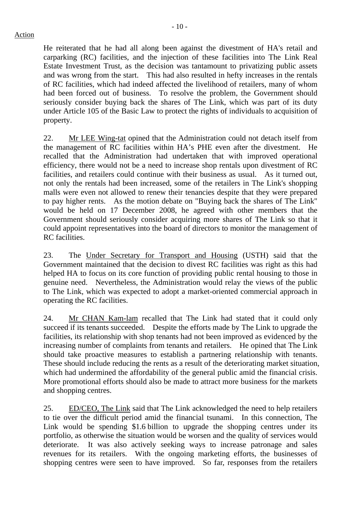He reiterated that he had all along been against the divestment of HA's retail and carparking (RC) facilities, and the injection of these facilities into The Link Real Estate Investment Trust, as the decision was tantamount to privatizing public assets and was wrong from the start. This had also resulted in hefty increases in the rentals of RC facilities, which had indeed affected the livelihood of retailers, many of whom had been forced out of business. To resolve the problem, the Government should seriously consider buying back the shares of The Link, which was part of its duty under Article 105 of the Basic Law to protect the rights of individuals to acquisition of property.

22. Mr LEE Wing-tat opined that the Administration could not detach itself from the management of RC facilities within HA's PHE even after the divestment. He recalled that the Administration had undertaken that with improved operational efficiency, there would not be a need to increase shop rentals upon divestment of RC facilities, and retailers could continue with their business as usual. As it turned out, not only the rentals had been increased, some of the retailers in The Link's shopping malls were even not allowed to renew their tenancies despite that they were prepared to pay higher rents. As the motion debate on "Buying back the shares of The Link" would be held on 17 December 2008, he agreed with other members that the Government should seriously consider acquiring more shares of The Link so that it could appoint representatives into the board of directors to monitor the management of RC facilities.

23. The Under Secretary for Transport and Housing (USTH) said that the Government maintained that the decision to divest RC facilities was right as this had helped HA to focus on its core function of providing public rental housing to those in genuine need. Nevertheless, the Administration would relay the views of the public to The Link, which was expected to adopt a market-oriented commercial approach in operating the RC facilities.

24. Mr CHAN Kam-lam recalled that The Link had stated that it could only succeed if its tenants succeeded. Despite the efforts made by The Link to upgrade the facilities, its relationship with shop tenants had not been improved as evidenced by the increasing number of complaints from tenants and retailers. He opined that The Link should take proactive measures to establish a partnering relationship with tenants. These should include reducing the rents as a result of the deteriorating market situation, which had undermined the affordability of the general public amid the financial crisis. More promotional efforts should also be made to attract more business for the markets and shopping centres.

25. ED/CEO, The Link said that The Link acknowledged the need to help retailers to tie over the difficult period amid the financial tsunami. In this connection, The Link would be spending \$1.6 billion to upgrade the shopping centres under its portfolio, as otherwise the situation would be worsen and the quality of services would deteriorate. It was also actively seeking ways to increase patronage and sales revenues for its retailers. With the ongoing marketing efforts, the businesses of shopping centres were seen to have improved. So far, responses from the retailers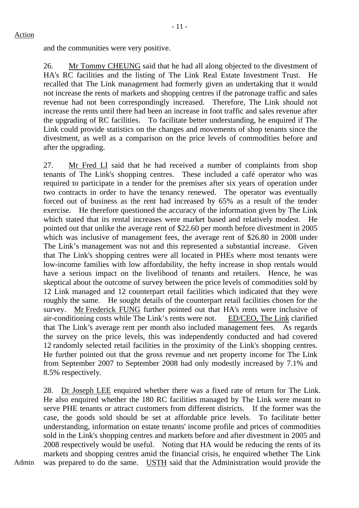and the communities were very positive.

26. Mr Tommy CHEUNG said that he had all along objected to the divestment of HA's RC facilities and the listing of The Link Real Estate Investment Trust. He recalled that The Link management had formerly given an undertaking that it would not increase the rents of markets and shopping centres if the patronage traffic and sales revenue had not been correspondingly increased. Therefore, The Link should not increase the rents until there had been an increase in foot traffic and sales revenue after the upgrading of RC facilities. To facilitate better understanding, he enquired if The Link could provide statistics on the changes and movements of shop tenants since the divestment, as well as a comparison on the price levels of commodities before and after the upgrading.

27. Mr Fred LI said that he had received a number of complaints from shop tenants of The Link's shopping centres. These included a café operator who was required to participate in a tender for the premises after six years of operation under two contracts in order to have the tenancy renewed. The operator was eventually forced out of business as the rent had increased by 65% as a result of the tender exercise. He therefore questioned the accuracy of the information given by The Link which stated that its rental increases were market based and relatively modest. He pointed out that unlike the average rent of \$22.60 per month before divestment in 2005 which was inclusive of management fees, the average rent of \$26.80 in 2008 under The Link's management was not and this represented a substantial increase. Given that The Link's shopping centres were all located in PHEs where most tenants were low-income families with low affordability, the hefty increase in shop rentals would have a serious impact on the livelihood of tenants and retailers. Hence, he was skeptical about the outcome of survey between the price levels of commodities sold by 12 Link managed and 12 counterpart retail facilities which indicated that they were roughly the same. He sought details of the counterpart retail facilities chosen for the survey. Mr Frederick FUNG further pointed out that HA's rents were inclusive of air-conditioning costs while The Link's rents were not. ED/CEO, The Link clarified that The Link's average rent per month also included management fees. As regards the survey on the price levels, this was independently conducted and had covered 12 randomly selected retail facilities in the proximity of the Link's shopping centres. He further pointed out that the gross revenue and net property income for The Link from September 2007 to September 2008 had only modestly increased by 7.1% and 8.5% respectively.

28. Dr Joseph LEE enquired whether there was a fixed rate of return for The Link. He also enquired whether the 180 RC facilities managed by The Link were meant to serve PHE tenants or attract customers from different districts. If the former was the case, the goods sold should be set at affordable price levels. To facilitate better understanding, information on estate tenants' income profile and prices of commodities sold in the Link's shopping centres and markets before and after divestment in 2005 and 2008 respectively would be useful. Noting that HA would be reducing the rents of its markets and shopping centres amid the financial crisis, he enquired whether The Link was prepared to do the same. USTH said that the Administration would provide the

Admin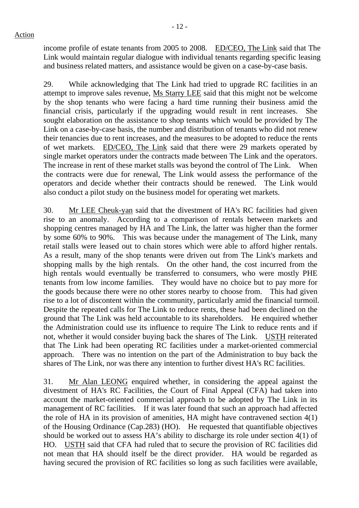income profile of estate tenants from 2005 to 2008. ED/CEO, The Link said that The Link would maintain regular dialogue with individual tenants regarding specific leasing and business related matters, and assistance would be given on a case-by-case basis.

29. While acknowledging that The Link had tried to upgrade RC facilities in an attempt to improve sales revenue, Ms Starry LEE said that this might not be welcome by the shop tenants who were facing a hard time running their business amid the financial crisis, particularly if the upgrading would result in rent increases. She sought elaboration on the assistance to shop tenants which would be provided by The Link on a case-by-case basis, the number and distribution of tenants who did not renew their tenancies due to rent increases, and the measures to be adopted to reduce the rents of wet markets. ED/CEO, The Link said that there were 29 markets operated by single market operators under the contracts made between The Link and the operators. The increase in rent of these market stalls was beyond the control of The Link. When the contracts were due for renewal, The Link would assess the performance of the operators and decide whether their contracts should be renewed. The Link would also conduct a pilot study on the business model for operating wet markets.

30. Mr LEE Cheuk-yan said that the divestment of HA's RC facilities had given rise to an anomaly. According to a comparison of rentals between markets and shopping centres managed by HA and The Link, the latter was higher than the former by some 60% to 90%. This was because under the management of The Link, many retail stalls were leased out to chain stores which were able to afford higher rentals. As a result, many of the shop tenants were driven out from The Link's markets and shopping malls by the high rentals. On the other hand, the cost incurred from the high rentals would eventually be transferred to consumers, who were mostly PHE tenants from low income families. They would have no choice but to pay more for the goods because there were no other stores nearby to choose from. This had given rise to a lot of discontent within the community, particularly amid the financial turmoil. Despite the repeated calls for The Link to reduce rents, these had been declined on the ground that The Link was held accountable to its shareholders. He enquired whether the Administration could use its influence to require The Link to reduce rents and if not, whether it would consider buying back the shares of The Link. USTH reiterated that The Link had been operating RC facilities under a market-oriented commercial approach. There was no intention on the part of the Administration to buy back the shares of The Link, nor was there any intention to further divest HA's RC facilities.

31. Mr Alan LEONG enquired whether, in considering the appeal against the divestment of HA's RC Facilities, the Court of Final Appeal (CFA) had taken into account the market-oriented commercial approach to be adopted by The Link in its management of RC facilities. If it was later found that such an approach had affected the role of HA in its provision of amenities, HA might have contravened section 4(1) of the Housing Ordinance (Cap.283) (HO). He requested that quantifiable objectives should be worked out to assess HA's ability to discharge its role under section 4(1) of HO. USTH said that CFA had ruled that to secure the provision of RC facilities did not mean that HA should itself be the direct provider. HA would be regarded as having secured the provision of RC facilities so long as such facilities were available,